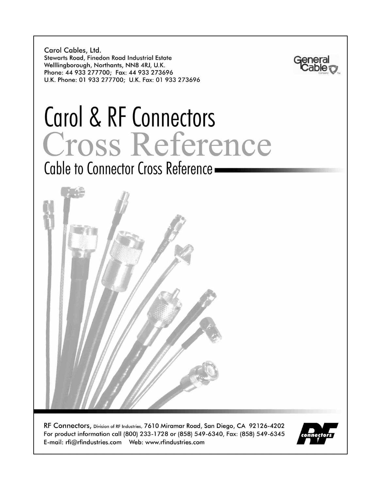Carol Cables, Ltd. Stewarts Road, Finedon Road Industrial Estate Welllingborough, Northants, NN8 4RJ, U.K. Phone: 44 933 277700; Fax: 44 933 273696 U.K. Phone: 01 933 277700; U.K. Fax: 01 933 273696



# Carol & RF Connectors Cross Reference

Cable to Connector Cross Reference



RF Connectors, Division of RF Industries, 7610 Miramar Road, San Diego, CA 92126-4202 For product information call (800) 233-1728 or (858) 549-6340, Fax: (858) 549-6345 

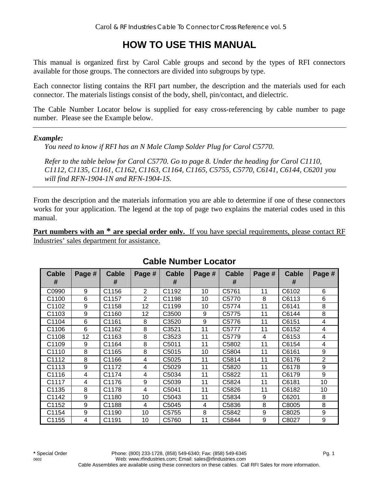# **HOW TO USE THIS MANUAL**

This manual is organized first by Carol Cable groups and second by the types of RFI connectors available for those groups. The connectors are divided into subgroups by type.

Each connector listing contains the RFI part number, the description and the materials used for each connector. The materials listings consist of the body, shell, pin/contact, and dielectric.

The Cable Number Locator below is supplied for easy cross-referencing by cable number to page number. Please see the Example below.

#### *Example:*

*You need to know if RFI has an N Male Clamp Solder Plug for Carol C5770.* 

*Refer to the table below for Carol C5770. Go to page 8. Under the heading for Carol C1110, C1112, C1135, C1161, C1162, C1163, C1164, C1165, C5755, C5770, C6141, C6144, C6201 you will find RFN-1904-1N and RFN-1904-1S.* 

From the description and the materials information you are able to determine if one of these connectors works for your application. The legend at the top of page two explains the material codes used in this manual.

**Part numbers with an \* are special order only.** If you have special requirements, please contact RF Industries' sales department for assistance.

| <b>Cable</b><br># | Page # | <b>Cable</b><br># | Page #         | <b>Cable</b><br># | Page # | <b>Cable</b><br># | Page # | <b>Cable</b><br># | Page #         |
|-------------------|--------|-------------------|----------------|-------------------|--------|-------------------|--------|-------------------|----------------|
| C0990             | 9      | C1156             | 2              | C1192             | 10     | C5761             | 11     | C6102             | 6              |
| C1100             | 6      | C <sub>1157</sub> | $\overline{2}$ | C1198             | 10     | C <sub>5770</sub> | 8      | C6113             | 6              |
| C1102             | 9      | C <sub>1158</sub> | 12             | C1199             | 10     | C5774             | 11     | C6141             | 8              |
| C1103             | 9      | C1160             | 12             | C3500             | 9      | C5775             | 11     | C6144             | 8              |
| C1104             | 6      | C1161             | 8              | C3520             | 9      | C5776             | 11     | C6151             | 4              |
| C1106             | 6      | C1162             | 8              | C3521             | 11     | C5777             | 11     | C6152             | 4              |
| C1108             | 12     | C1163             | 8              | C3523             | 11     | C5779             | 4      | C6153             | 4              |
| C1109             | 9      | C1164             | 8              | C5011             | 11     | C5802             | 11     | C6154             | 4              |
| C1110             | 8      | C1165             | 8              | C <sub>5015</sub> | 10     | C5804             | 11     | C6161             | 9              |
| C1112             | 8      | C1166             | 4              | C5025             | 11     | C5814             | 11     | C6176             | $\overline{2}$ |
| C1113             | 9      | C1172             | 4              | C5029             | 11     | C5820             | 11     | C6178             | 9              |
| C1116             | 4      | C1174             | 4              | C5034             | 11     | C5822             | 11     | C6179             | 9              |
| C1117             | 4      | C1176             | 9              | C5039             | 11     | C5824             | 11     | C6181             | 10             |
| C1135             | 8      | C1178             | 4              | C5041             | 11     | C5826             | 11     | C6182             | 10             |
| C1142             | 9      | C1180             | 10             | C5043             | 11     | C5834             | 9      | C6201             | 8              |
| C1152             | 9      | C1188             | 4              | C5045             | 4      | C5836             | 8      | C8005             | 8              |
| C1154             | 9      | C1190             | 10             | C <sub>5755</sub> | 8      | C5842             | 9      | C8025             | 9              |
| C1155             | 4      | C1191             | 10             | C5760             | 11     | C5844             | 9      | C8027             | 9              |

## **Cable Number Locator**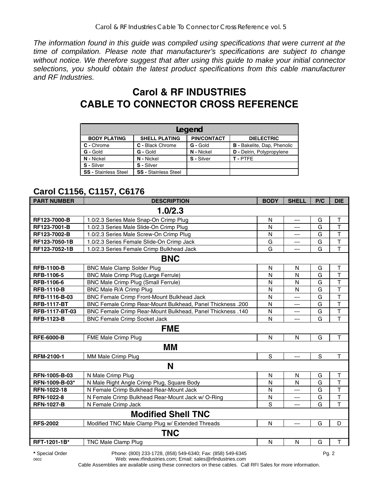*The information found in this guide was compiled using specifications that were current at the time of compilation. Please note that manufacturer's specifications are subject to change without notice. We therefore suggest that after using this guide to make your initial connector selections, you should obtain the latest product specifications from this cable manufacturer and RF Industries.* 

# **Carol & RF INDUSTRIES CABLE TO CONNECTOR CROSS REFERENCE**

| Legend                                                                                 |                             |            |                                    |  |  |  |  |  |  |
|----------------------------------------------------------------------------------------|-----------------------------|------------|------------------------------------|--|--|--|--|--|--|
| <b>PIN/CONTACT</b><br><b>BODY PLATING</b><br><b>SHELL PLATING</b><br><b>DIELECTRIC</b> |                             |            |                                    |  |  |  |  |  |  |
| C - Chrome                                                                             | C - Black Chrome            | G - Gold   | <b>B</b> - Bakelite, Dap, Phenolic |  |  |  |  |  |  |
| G - Gold                                                                               | G - Gold                    | N - Nickel | D - Delrin, Polypropylene          |  |  |  |  |  |  |
| N - Nickel                                                                             | N - Nickel                  | S - Silver | T-PTFE                             |  |  |  |  |  |  |
| S - Silver                                                                             | S - Silver                  |            |                                    |  |  |  |  |  |  |
| <b>SS - Stainless Steel</b>                                                            | <b>SS - Stainless Steel</b> |            |                                    |  |  |  |  |  |  |

# **Carol C1156, C1157, C6176**

| <b>PART NUMBER</b> | <b>DESCRIPTION</b>                                         | <b>BODY</b>  | <b>SHELL</b>   | P/C         | <b>DIE</b>              |
|--------------------|------------------------------------------------------------|--------------|----------------|-------------|-------------------------|
|                    | 1.0/2.3                                                    |              |                |             |                         |
| RF123-7000-B       | 1.0/2.3 Series Male Snap-On Crimp Plug                     | N            | $\overline{a}$ | G           | $\mathsf{T}$            |
| RF123-7001-B       | 1.0/2.3 Series Male Slide-On Crimp Plug                    | N            | ---            | G           | $\overline{\mathsf{T}}$ |
| RF123-7002-B       | 1.0/2.3 Series Male Screw-On Crimp Plug                    | N            | ---            | G           | T                       |
| RF123-7050-1B      | 1.0/2.3 Series Female Slide-On Crimp Jack                  | G            | ---            | G           | T                       |
| RF123-7052-1B      | 1.0/2.3 Series Female Crimp Bulkhead Jack                  | G            | ---            | G           | $\overline{\mathsf{T}}$ |
|                    | <b>BNC</b>                                                 |              |                |             |                         |
| <b>RFB-1100-B</b>  | <b>BNC Male Clamp Solder Plug</b>                          | N            | N              | G           | $\top$                  |
| <b>RFB-1106-5</b>  | BNC Male Crimp Plug (Large Ferrule)                        | N            | N              | G           | $\top$                  |
| RFB-1106-6         | <b>BNC Male Crimp Plug (Small Ferrule)</b>                 | $\mathsf{N}$ | N              | G           | T                       |
| <b>RFB-1110-B</b>  | BNC Male R/A Crimp Plug                                    | N            | N              | G           | $\top$                  |
| RFB-1116-B-03      | BNC Female Crimp Front-Mount Bulkhead Jack                 | N            | ---            | G           | T                       |
| <b>RFB-1117-BT</b> | BNC Female Crimp Rear-Mount Bulkhead, Panel Thickness .200 | N            | ---            | G           | $\overline{\mathsf{T}}$ |
| RFB-1117-BT-03     | BNC Female Crimp Rear-Mount Bulkhead, Panel Thickness .140 | N            | $---$          | G           | T                       |
| <b>RFB-1123-B</b>  | <b>BNC Female Crimp Socket Jack</b>                        | N            | $---$          | G           | $\overline{\mathsf{T}}$ |
|                    | <b>FME</b>                                                 |              |                |             |                         |
| <b>RFE-6000-B</b>  | FME Male Crimp Plug                                        | $\mathsf{N}$ | N              | G           | $\mathsf{T}$            |
|                    | ΜM                                                         |              |                |             |                         |
| RFM-2100-1         | MM Male Crimp Plug                                         | S            | ---            | $\mathbf S$ | T                       |
|                    | N                                                          |              |                |             |                         |
| RFN-1005-B-03      | N Male Crimp Plug                                          | $\mathsf{N}$ | N              | G           | $\top$                  |
| RFN-1009-B-03*     | N Male Right Angle Crimp Plug, Square Body                 | N            | $\mathsf{N}$   | G           | $\overline{\mathsf{T}}$ |
| RFN-1022-18        | N Female Crimp Bulkhead Rear-Mount Jack                    | N            | ---            | G           | $\overline{\mathsf{T}}$ |
| <b>RFN-1022-8</b>  | N Female Crimp Bulkhead Rear-Mount Jack w/ O-Ring          | N            | ---            | G           | T                       |
| <b>RFN-1027-B</b>  | N Female Crimp Jack                                        | S            | $---$          | G           | T                       |
|                    | <b>Modified Shell TNC</b>                                  |              |                |             |                         |
| <b>RFS-2002</b>    | Modified TNC Male Clamp Plug w/ Extended Threads           | N            | $---$          | G           | D                       |
|                    | <b>TNC</b>                                                 |              |                |             |                         |
| RFT-1201-1B*       | TNC Male Clamp Plug                                        | N            | N              | G           | $\mathsf{T}$            |

**\*** Special Order Phone: (800) 233-1728, (858) 549-6340; Fax: (858) 549-6345 Pg. 2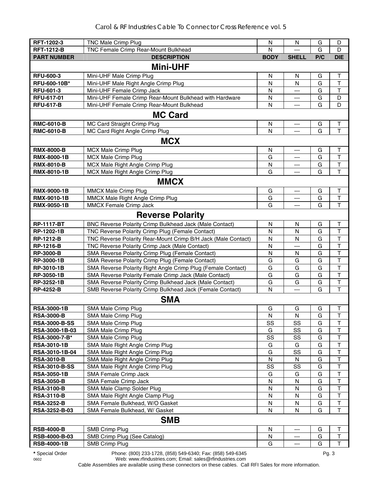| RFT-1202-3                         | <b>TNC Male Crimp Plug</b>                                         | N                 | N            | G      | D                       |
|------------------------------------|--------------------------------------------------------------------|-------------------|--------------|--------|-------------------------|
| <b>RFT-1212-B</b>                  | TNC Female Crimp Rear-Mount Bulkhead                               | N                 |              | G      | D                       |
| <b>PART NUMBER</b>                 | <b>DESCRIPTION</b>                                                 | <b>BODY</b>       | <b>SHELL</b> | P/C    | <b>DIE</b>              |
|                                    | <b>Mini-UHF</b>                                                    |                   |              |        |                         |
| <b>RFU-600-3</b>                   | Mini-UHF Male Crimp Plug                                           | N                 | N            | G      | T                       |
| RFU-600-10B*                       | Mini-UHF Male Right Angle Crimp Plug                               | N                 | N            | G      | $\mathsf T$             |
| <b>RFU-601-3</b>                   | Mini-UHF Female Crimp Jack                                         | $\mathsf{N}$      | ---          | G      | $\mathsf T$             |
| RFU-617-01                         | Mini-UHF Female Crimp Rear-Mount Bulkhead with Hardware            | N                 | ---          | G      | D                       |
| <b>RFU-617-B</b>                   | Mini-UHF Female Crimp Rear-Mount Bulkhead                          | $\mathsf{N}$      | ---          | G      | D                       |
|                                    | <b>MC Card</b>                                                     |                   |              |        |                         |
| <b>RMC-6010-B</b>                  | MC Card Straight Crimp Plug                                        | N                 | ---          | G      | $\mathsf T$             |
| <b>RMC-6010-B</b>                  | MC Card Right Angle Crimp Plug                                     | N                 | ---          | G      | T                       |
|                                    | <b>MCX</b>                                                         |                   |              |        |                         |
| <b>RMX-8000-B</b>                  | <b>MCX Male Crimp Plug</b>                                         | N                 | ---          | G      | $\top$                  |
| <b>RMX-8000-1B</b>                 | MCX Male Crimp Plug                                                | G                 | ---          | G      | $\mathsf T$             |
| <b>RMX-8010-B</b>                  | MCX Male Right Angle Crimp Plug                                    | N                 | ---          | G      | $\top$                  |
| <b>RMX-8010-1B</b>                 | MCX Male Right Angle Crimp Plug                                    | G                 | ---          | G      | T                       |
|                                    | <b>MMCX</b>                                                        |                   |              |        |                         |
| <b>RMX-9000-1B</b>                 | MMCX Male Crimp Plug                                               | G                 | ---          | G      | $\top$                  |
| RMX-9010-1B                        | MMCX Male Right Angle Crimp Plug                                   | G                 | ---          | G      | $\mathsf T$             |
| <b>RMX-9050-1B</b>                 | MMCX Female Crimp Jack                                             | G                 | ---          | G      | T                       |
|                                    | <b>Reverse Polarity</b>                                            |                   |              |        |                         |
| <b>RP-1117-BT</b>                  | BNC Reverse Polarity Crimp Bulkhead Jack (Male Contact)            | ${\sf N}$         | N            | G      | $\top$                  |
| RP-1202-1B                         | TNC Reverse Polarity Crimp Plug (Female Contact)                   | N                 | $\mathsf{N}$ | G      | $\mathsf T$             |
| <b>RP-1212-B</b>                   | TNC Reverse Polarity Rear-Mount Crimp B/H Jack (Male Contact)      | $\mathsf{N}$      | N            | G      | $\top$                  |
| <b>RP-1216-B</b>                   | TNC Reverse Polarity Crimp Jack (Male Contact)                     | $\mathsf{N}$      | ---          | G      | $\overline{\mathsf{T}}$ |
| <b>RP-3000-B</b>                   | SMA Reverse Polarity Crimp Plug (Female Contact)                   | N                 | N            | G      | T                       |
| RP-3000-1B                         | SMA Reverse Polarity Crimp Plug (Female Contact)                   | G                 | G            | G      | $\top$                  |
| RP-3010-1B                         | SMA Reverse Polarity Right Angle Crimp Plug (Female Contact)       | G                 | G            | G      | $\overline{\mathsf{T}}$ |
| RP-3050-1B                         | SMA Reverse Polarity Female Crimp Jack (Male Contact)              | G                 | G            | G      | $\mathsf T$             |
| RP-3252-1B                         | SMA Reverse Polarity Crimp Bulkhead Jack (Male Contact)            | G                 | G            | G      | $\top$                  |
| <b>RP-4252-B</b>                   | SMB Reverse Polarity Crimp Bulkhead Jack (Female Contact)          | N                 | ---          | G      | T                       |
|                                    | <b>SMA</b>                                                         |                   |              |        |                         |
| <b>RSA-3000-1B</b>                 | SMA Male Crimp Plug                                                | G                 | G            | G      | Т                       |
| <b>RSA-3000-B</b>                  | SMA Male Crimp Plug                                                | N                 | N            | G      | $\mathbf{I}$            |
| <b>RSA-3000-B-SS</b>               | <b>SMA Male Crimp Plug</b>                                         | SS                | SS           | G      | T                       |
| RSA-3000-1B-03                     | SMA Male Crimp Plug                                                | G                 | SS           | G      | T                       |
| RSA-3000-7-B*                      | SMA Male Crimp Plug                                                | SS                | SS           | G      | T                       |
| <b>RSA-3010-1B</b>                 | SMA Male Right Angle Crimp Plug                                    | G                 | G            | G      | T                       |
| RSA-3010-1B-04                     | SMA Male Right Angle Crimp Plug                                    | G                 | SS           | G      | T                       |
| <b>RSA-3010-B</b>                  | SMA Male Right Angle Crimp Plug                                    | N                 | N            | G      | T                       |
| <b>RSA-3010-B-SS</b>               | SMA Male Right Angle Crimp Plug                                    | SS                | SS           | G      | T                       |
| <b>RSA-3050-1B</b>                 | SMA Female Crimp Jack                                              | G                 | G            | G      | $\overline{\mathsf{T}}$ |
| <b>RSA-3050-B</b>                  | SMA Female Crimp Jack                                              | N                 | N            | G      | $\top$                  |
| <b>RSA-3100-B</b>                  | SMA Male Clamp Solder Plug                                         | N                 | N            | G      | $\top$<br>$\top$        |
| <b>RSA-3110-B</b>                  | SMA Male Right Angle Clamp Plug<br>SMA Female Bulkhead, W/O Gasket | $\mathsf{N}$<br>N | N<br>N       | G<br>G | $\top$                  |
| <b>RSA-3252-B</b><br>RSA-3252-B-03 | SMA Female Bulkhead, W/ Gasket                                     | N                 | N            | G      | $\mathsf T$             |
|                                    | <b>SMB</b>                                                         |                   |              |        |                         |
|                                    |                                                                    |                   |              |        |                         |
| <b>RSB-4000-B</b><br>RSB-4000-B-03 | SMB Crimp Plug<br>SMB Crimp Plug (See Catalog)                     | ${\sf N}$<br>N    | ---<br>---   | G<br>G | $\mathsf T$<br>$\top$   |
| <b>RSB-4000-1B</b>                 | <b>SMB Crimp Plug</b>                                              | G                 | ---          | G      | $\mathsf T$             |
|                                    |                                                                    |                   |              |        |                         |

**\*** Special Order Phone: (800) 233-1728, (858) 549-6340; Fax: (858) 549-6345 Pg. 3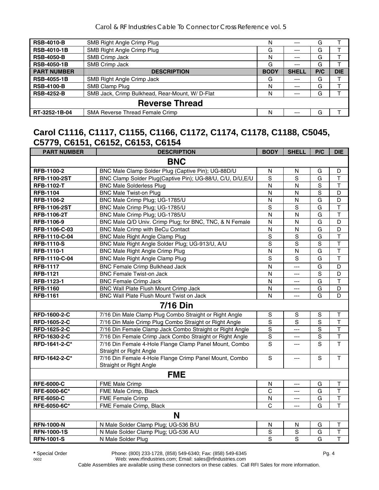| SMB Right Angle Crimp Plug                      | N           | $--$         | G   |            |  |  |  |  |
|-------------------------------------------------|-------------|--------------|-----|------------|--|--|--|--|
| SMB Right Angle Crimp Plug                      | G           | ---          | G   |            |  |  |  |  |
| SMB Crimp Jack                                  | N           | $--$         | G   |            |  |  |  |  |
| SMB Crimp Jack                                  | G           | ---          | G   |            |  |  |  |  |
| <b>DESCRIPTION</b>                              | <b>BODY</b> | <b>SHELL</b> | P/C | <b>DIE</b> |  |  |  |  |
| SMB Right Angle Crimp Jack                      | G           | $- - -$      | G   |            |  |  |  |  |
| SMB Clamp Plug                                  | N           | ---          | G   |            |  |  |  |  |
| SMB Jack, Crimp Bulkhead, Rear-Mount, W/ D-Flat | N           | $--$         | G   |            |  |  |  |  |
| <b>Reverse Thread</b>                           |             |              |     |            |  |  |  |  |
| <b>SMA Reverse Thread Female Crimp</b>          | Ν           | ---          | G   |            |  |  |  |  |
|                                                 |             |              |     |            |  |  |  |  |

## **Carol C1116, C1117, C1155, C1166, C1172, C1174, C1178, C1188, C5045, C5779, C6151, C6152, C6153, C6154**

| <b>PART NUMBER</b>  | <b>DESCRIPTION</b>                                                                | <b>BODY</b>    | <b>SHELL</b>   | P/C            | <b>DIE</b>              |
|---------------------|-----------------------------------------------------------------------------------|----------------|----------------|----------------|-------------------------|
|                     | <b>BNC</b>                                                                        |                |                |                |                         |
| RFB-1100-2          | BNC Male Clamp Solder Plug (Captive Pin); UG-88D/U                                | N              | N              | G              | D                       |
| <b>RFB-1100-2ST</b> | BNC Clamp Solder Plug(Captive Pin); UG-88/U, C/U, D/U, E/U                        | S              | S              | G              | $\top$                  |
| <b>RFB-1102-T</b>   | <b>BNC Male Solderless Plug</b>                                                   | N              | $\mathsf{N}$   | $\mathbf S$    | $\top$                  |
| <b>RFB-1104</b>     | <b>BNC Male Twist-on Plug</b>                                                     | N              | N              | $\mathbf S$    | D                       |
| RFB-1106-2          | BNC Male Crimp Plug; UG-1785/U                                                    | $\mathsf{N}$   | $\mathsf{N}$   | G              | D                       |
| <b>RFB-1106-2ST</b> | BNC Male Crimp Plug; UG-1785/U                                                    | S              | $\overline{s}$ | G              | $\overline{\mathsf{T}}$ |
| <b>RFB-1106-2T</b>  | BNC Male Crimp Plug; UG-1785/U                                                    | $\mathsf{N}$   | N              | G              | $\mathsf T$             |
| RFB-1106-9          | BNC Male Q/D Univ. Crimp Plug; for BNC, TNC, & N Female                           | N              | N              | G              | D                       |
| RFB-1106-C-03       | BNC Male Crimp with BeCu Contact                                                  | ${\sf N}$      | $\mathsf{N}$   | G              | D                       |
| RFB-1110-C-04       | <b>BNC Male Right Angle Clamp Plug</b>                                            | $\overline{S}$ | $\overline{s}$ | G              | $\overline{\mathsf{T}}$ |
| <b>RFB-1110-S</b>   | BNC Male Right Angle Solder Plug; UG-913/U, A/U                                   | $\overline{s}$ | S              | $\mathbf S$    | $\overline{\mathsf{T}}$ |
| RFB-1110-1          | <b>BNC Male Right Angle Crimp Plug</b>                                            | N              | $\mathsf{N}$   | G              | $\overline{\mathsf{T}}$ |
| RFB-1110-C-04       | <b>BNC Male Right Angle Clamp Plug</b>                                            | S              | S              | G              | $\mathsf{T}$            |
| <b>RFB-1117</b>     | <b>BNC Female Crimp Bulkhead Jack</b>                                             | N              | ---            | G              | D                       |
| <b>RFB-1121</b>     | <b>BNC Female Twist-on Jack</b>                                                   | N              | ---            | $\mathbf S$    | D                       |
| RFB-1123-1          | <b>BNC Female Crimp Jack</b>                                                      | N              | ---            | G              | $\overline{\mathsf{T}}$ |
| <b>RFB-1160</b>     | <b>BNC Wall Plate Flush Mount Crimp Jack</b>                                      | N              | ---            | G              | D                       |
| <b>RFB-1161</b>     | BNC Wall Plate Flush Mount Twist on Jack                                          | N              | $\overline{a}$ | G              | D                       |
|                     | <b>7/16 Din</b>                                                                   |                |                |                |                         |
| RFD-1600-2-C        | 7/16 Din Male Clamp Plug Combo Straight or Right Angle                            | $\mathbb S$    | S              | S              | T                       |
| RFD-1605-2-C        | 7/16 Din Male Crimp Plug Combo Straight or Right Angle                            | $\overline{s}$ | $\mathbf S$    | $\overline{s}$ | $\mathsf T$             |
| RFD-1625-2-C        | 7/16 Din Female Clamp Jack Combo Straight or Right Angle                          | $\overline{s}$ | $\overline{a}$ | $\overline{s}$ | $\overline{\mathsf{T}}$ |
| RFD-1630-2-C        | 7/16 Din Female Crimp Jack Combo Straight or Right Angle                          | S              | ---            | $\mathbf S$    | $\top$                  |
| RFD-1641-2-C*       | 7/16 Din Female 4-Hole Flange Clamp Panel Mount, Combo<br>Straight or Right Angle | S              | $---$          | S              | $\overline{\mathsf{T}}$ |
| RFD-1642-2-C*       | 7/16 Din Female 4-Hole Flange Crimp Panel Mount, Combo<br>Straight or Right Angle | $\mathbf S$    | ---            | S              | $\mathsf{T}$            |
|                     | <b>FME</b>                                                                        |                |                |                |                         |
| <b>RFE-6000-C</b>   | FME Male Crimp                                                                    | N              | ---            | G              | T                       |
| RFE-6000-6C*        | FME Male Crimp, Black                                                             | $\mathsf{C}$   | $\overline{a}$ | G              | $\mathsf T$             |
| <b>RFE-6050-C</b>   | FME Female Crimp                                                                  | $\mathsf{N}$   | ---            | G              | $\mathsf T$             |
| RFE-6050-6C*        | FME Female Crimp, Black                                                           | C              | $---$          | G              | T                       |
|                     | N                                                                                 |                |                |                |                         |
| <b>RFN-1000-N</b>   | N Male Solder Clamp Plug; UG-536 B/U                                              | $\mathsf{N}$   | ${\sf N}$      | G              | $\mathsf T$             |
| <b>RFN-1000-1S</b>  | N Male Solder Clamp Plug; UG-536 A/U                                              | $\mathbf S$    | $\overline{S}$ | G              | T                       |
| <b>RFN-1001-S</b>   | N Male Solder Plug                                                                | $\overline{s}$ | $\overline{s}$ | G              | $\overline{\mathsf{T}}$ |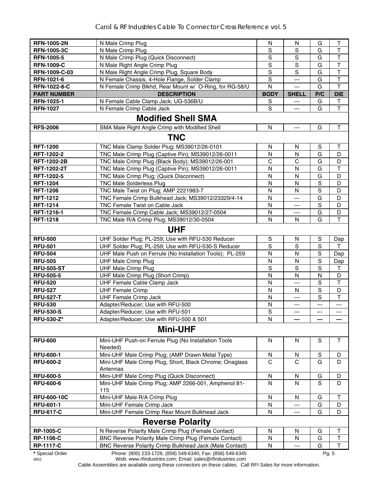| <b>RFN-1005-2N</b>      | N Male Crimp Plug                                                                                                      | N             | N                        | G            | $\top$       |
|-------------------------|------------------------------------------------------------------------------------------------------------------------|---------------|--------------------------|--------------|--------------|
| <b>RFN-1005-3C</b>      | N Male Crimp Plug                                                                                                      | S             | S                        | G            | $\top$       |
| <b>RFN-1005-5</b>       | N Male Crimp Plug (Quick Disconnect)                                                                                   | S             | $\mathbf S$              | G            | $\top$       |
| <b>RFN-1009-C</b>       | N Male Right Angle Crimp Plug                                                                                          | S             | S                        | G            | $\top$       |
| RFN-1009-C-03           | N Male Right Angle Crimp Plug, Square Body                                                                             | $\mathsf S$   | S                        | G            | $\mathsf T$  |
| <b>RFN-1021-6</b>       | N Female Chassis, 4-Hole Flange, Solder Clamp                                                                          | S             | ---                      | G            | T            |
| RFN-1022-8-C            | N Female Crimp Blkhd, Rear Mount w/ O-Ring, for RG-58/U                                                                | N             | ---                      | G            | T            |
| <b>PART NUMBER</b>      | <b>DESCRIPTION</b>                                                                                                     | <b>BODY</b>   | <b>SHELL</b>             | P/C          | <b>DIE</b>   |
| <b>RFN-1025-1</b>       | N Female Cable Clamp Jack; UG-536B/U                                                                                   | S             |                          | G            | Т            |
| <b>RFN-1027</b>         | N Female Crimp Cable Jack                                                                                              | S             | $---$                    | G            | T            |
|                         | <b>Modified Shell SMA</b>                                                                                              |               |                          |              |              |
| <b>RFS-2006</b>         | SMA Male Right Angle Crimp with Modified Shell                                                                         | N             | $\hspace{0.05cm} \ldots$ | G            | $\mathsf{T}$ |
|                         | <b>TNC</b>                                                                                                             |               |                          |              |              |
| <b>RFT-1200</b>         | TNC Male Clamp Solder Plug; MS39012/26-0101                                                                            | N             | N                        | S            |              |
| RFT-1202-2              | TNC Male Crimp Plug (Captive Pin); MS39012/26-0011                                                                     | N             | N                        | G            | т<br>D       |
| <b>RFT-1202-2B</b>      | TNC Male Crimp Plug (Black Body); MS39012/26-001                                                                       | C             | C                        | G            | D            |
| RFT-1202-2T             | TNC Male Crimp Plug (Captive Pin); MS39012/26-0011                                                                     | ${\sf N}$     | N                        | G            | $\top$       |
| RFT-1202-5              | TNC Male Crimp Plug; (Quick Disconnect)                                                                                | ${\sf N}$     | N                        | G            | D            |
| <b>RFT-1204</b>         | <b>TNC Male Solderless Plug</b>                                                                                        | N             | N                        | S            | D            |
| <b>RFT-1206</b>         | TNC Male Twist on Plug; AMP 2221983-7                                                                                  | N             | N                        | S            | D            |
| <b>RFT-1212</b>         | TNC Female Crimp Bulkhead Jack; MS39012/23329/4-14                                                                     | N             | $---$                    | G            | D            |
| <b>RFT-1214</b>         | TNC Female Twist on Cable Jack                                                                                         | N             | ---                      | S            | D            |
| RFT-1216-1              | TNC Female Crimp Cable Jack; MS39012/27-0504                                                                           | N             | ---                      | G            | D            |
| <b>RFT-1218</b>         | TNC Male R/A Crimp Plug; MS39012/30-0504                                                                               | N             | N                        | G            | T            |
|                         | <b>UHF</b>                                                                                                             |               |                          |              |              |
| <b>RFU-500</b>          | UHF Solder Plug; PL-259; Use with RFU-530 Reducer                                                                      | ${\mathbb S}$ | N                        | S            | Dap          |
| <b>RFU-501</b>          | UHF Solder Plug; PL-259; Use with RFU-530-S Reducer                                                                    | $\mathbf S$   | S                        | S            | т            |
| <b>RFU-504</b>          | UHF Male Push on Ferrule (No Installation Tools); PL-259                                                               | N             | N                        | S            | Dap          |
| <b>RFU-505</b>          | <b>UHF Male Crimp Plug</b>                                                                                             | $\mathsf{N}$  | N                        | S            | Dap          |
| <b>RFU-505-ST</b>       | <b>UHF Male Crimp Plug</b>                                                                                             | S             | S                        | $\mathbf S$  | $\top$       |
| <b>RFU-505-5</b>        | UHF Male Crimp Plug (Short Crimp)                                                                                      | $\mathsf{N}$  | ${\sf N}$                | $\mathsf{N}$ | D            |
| <b>RFU-520</b>          | UHF Female Cable Clamp Jack                                                                                            | N             | ---                      | S            | $\top$       |
| <b>RFU-527</b>          | <b>UHF Female Crimp</b>                                                                                                | N             | N                        | S            | D            |
| <b>RFU-527-T</b>        | <b>UHF Female Crimp Jack</b>                                                                                           | N             | $---$                    | S            | $\mathsf{T}$ |
| <b>RFU-530</b>          | Adapter/Reducer; Use with RFU-500                                                                                      | N             | ---                      | ---          | ---          |
| <b>RFU-530-S</b>        | Adapter/Reducer; Use with RFU-501                                                                                      | S             | $---$                    | $---$        | $---$        |
| <b>RFU-530-Z*</b>       | Adapter/Reducer; Use with RFU-500 & 501                                                                                | N             |                          | ---          | ---          |
|                         | <b>Mini-UHF</b>                                                                                                        |               |                          |              |              |
| <b>RFU-600</b>          | Mini-UHF Push-on Ferrule Plug (No Installation Tools<br>Needed)                                                        | N             | N                        | S            | $\mathsf{T}$ |
| <b>RFU-600-1</b>        | Mini-UHF Male Crimp Plug; (AMP Drawn Metal Type)                                                                       | N             | N                        | S            | D            |
| <b>RFU-600-2</b>        | Mini-UHF Male Crimp Plug, Short, Black Chrome; Onaglass<br>Antennas                                                    | C             | C                        | G            | D            |
| <b>RFU-600-5</b>        | Mini-UHF Male Crimp Plug (Quick Disconnect)                                                                            | ${\sf N}$     | N                        | G            | D            |
| <b>RFU-600-6</b>        | Mini-UHF Male Crimp Plug; AMP 2266-001, Amphenol 81-<br>115                                                            | N             | N                        | S            | D            |
| <b>RFU-600-10C</b>      | Mini-UHF Male R/A Crimp Plug                                                                                           | $\mathsf{N}$  | N                        | G            | T            |
| <b>RFU-601-1</b>        | Mini-UHF Female Crimp Jack                                                                                             | N             |                          | G            | D            |
| <b>RFU-617-C</b>        | Mini-UHF Female Crimp Rear Mount Bulkhead Jack                                                                         | N             | $---$                    | G            | D            |
|                         | <b>Reverse Polarity</b>                                                                                                |               |                          |              |              |
| <b>RP-1005-C</b>        | N Reverse Polarity Male Crimp Plug (Female Contact)                                                                    | ${\sf N}$     | $\mathsf{N}$             | G            | Т            |
| <b>RP-1106-C</b>        | BNC Reverse Polarity Male Crimp Plug (Female Contact)                                                                  | N             | N                        | G            | T            |
| <b>RP-1117-C</b>        | BNC Reverse Polarity Crimp Bulkhead Jack (Male Contact)                                                                | N             |                          | G            | T            |
| * Special Order<br>0602 | Phone: (800) 233-1728, (858) 549-6340; Fax: (858) 549-6345<br>Web: www.rfindustries.com; Email: sales@rfindustries.com |               |                          | Pg. 5        |              |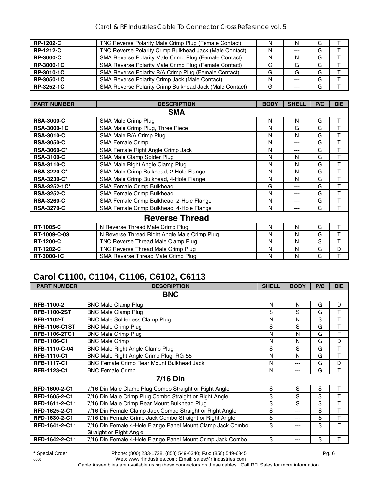| <b>RP-1202-C</b> | TNC Reverse Polarity Male Crimp Plug (Female Contact)   | N | N       | G |  |
|------------------|---------------------------------------------------------|---|---------|---|--|
| <b>RP-1212-C</b> | TNC Reverse Polarity Crimp Bulkhead Jack (Male Contact) | N | $---$   | G |  |
| <b>RP-3000-C</b> | SMA Reverse Polarity Male Crimp Plug (Female Contact)   | N |         | G |  |
| RP-3000-1C       | SMA Reverse Polarity Male Crimp Plug (Female Contact)   | G | G       | G |  |
| RP-3010-1C       | SMA Reverse Polarity R/A Crimp Plug (Female Contact)    | G | G       | G |  |
| RP-3050-1C       | SMA Reverse Polarity Crimp Jack (Male Contact)          | N | $---$   | G |  |
| RP-3252-1C       | SMA Reverse Polarity Crimp Bulkhead Jack (Male Contact) | G | $- - -$ | G |  |

| <b>PART NUMBER</b> | <b>DESCRIPTION</b>                           | <b>BODY</b> | <b>SHELL</b> | P/C | <b>DIE</b> |
|--------------------|----------------------------------------------|-------------|--------------|-----|------------|
|                    | <b>SMA</b>                                   |             |              |     |            |
| <b>RSA-3000-C</b>  | SMA Male Crimp Plug                          | N           | N            | G   | Τ          |
| <b>RSA-3000-1C</b> | SMA Male Crimp Plug, Three Piece             | N           | G            | G   | т          |
| <b>RSA-3010-C</b>  | SMA Male R/A Crimp Plug                      | N           | N            | G   | T          |
| <b>RSA-3050-C</b>  | <b>SMA Female Crimp</b>                      | N           | ---          | G   | T          |
| <b>RSA-3060-C*</b> | SMA Female Right Angle Crimp Jack            | N           | ---          | G   | Т          |
| <b>RSA-3100-C</b>  | SMA Male Clamp Solder Plug                   | N           | N            | G   | т          |
| <b>RSA-3110-C</b>  | SMA Male Right Angle Clamp Plug              | N           | N            | G   | T          |
| <b>RSA-3220-C*</b> | SMA Male Crimp Bulkhead, 2-Hole Flange       | N           | N            | G   | Т          |
| <b>RSA-3230-C*</b> | SMA Male Crimp Bulkhead, 4-Hole Flange       | N           | N            | G   | Τ          |
| RSA-3252-1C*       | SMA Female Crimp Bulkhead                    | G           | ---          | G   | T          |
| <b>RSA-3252-C</b>  | SMA Female Crimp Bulkhead                    | N           | ---          | G   | T          |
| <b>RSA-3260-C</b>  | SMA Female Crimp Bulkhead, 2-Hole Flange     | N           | ---          | G   | T          |
| <b>RSA-3270-C</b>  | SMA Female Crimp Bulkhead, 4-Hole Flange     | N           | ---          | G   | T          |
|                    | <b>Reverse Thread</b>                        |             |              |     |            |
| <b>RT-1005-C</b>   | N Reverse Thread Male Crimp Plug             | N           | N            | G   | Τ          |
| RT-1009-C-03       | N Reverse Thread Right Angle Male Crimp Plug | N           | N            | G   | T          |
| <b>RT-1200-C</b>   | TNC Reverse Thread Male Clamp Plug           | N           | N            | S   | т          |
| <b>RT-1202-C</b>   | TNC Reverse Thread Male Crimp Plug           | N           | Ν            | G   | D          |
| RT-3000-1C         | SMA Reverse Thread Male Crimp Plug           | N           | N            | G   | т          |

# **Carol C1100, C1104, C1106, C6102, C6113**

| <b>PART NUMBER</b>   | <b>DESCRIPTION</b>                                                                    | <b>SHELL</b> | <b>BODY</b> | P/C | <b>DIE</b> |
|----------------------|---------------------------------------------------------------------------------------|--------------|-------------|-----|------------|
|                      | <b>BNC</b>                                                                            |              |             |     |            |
| <b>RFB-1100-2</b>    | <b>BNC Male Clamp Plug</b>                                                            | N            | N           | G   | D          |
| <b>RFB-1100-2ST</b>  | <b>BNC Male Clamp Plug</b>                                                            | S            | S           | G   | T          |
| <b>RFB-1102-T</b>    | <b>BNC Male Solderless Clamp Plug</b>                                                 | N            | N           | S   | T          |
| <b>RFB-1106-C1ST</b> | <b>BNC Male Crimp Plug</b>                                                            | $\mathbf S$  | S           | G   | T          |
| <b>RFB-1106-2TC1</b> | <b>BNC Male Crimp Plug</b>                                                            | N            | N           | G   | T          |
| <b>RFB-1106-C1</b>   | <b>BNC Male Crimp</b>                                                                 | N            | N           | G   | D          |
| RFB-1110-C-04        | BNC Male Right Angle Clamp Plug                                                       | S            | S           | G   | T          |
| <b>RFB-1110-C1</b>   | BNC Male Right Angle Crimp Plug, RG-55                                                | N            | N           | G   | T          |
| <b>RFB-1117-C1</b>   | BNC Female Crimp Rear Mount Bulkhead Jack                                             | N            | ---         | G   | D          |
| RFB-1123-C1          | <b>BNC Female Crimp</b>                                                               | N            | ---         | G   | T          |
|                      | 7/16 Din                                                                              |              |             |     |            |
| RFD-1600-2-C1        | 7/16 Din Male Clamp Plug Combo Straight or Right Angle                                | S            | S           | S   | T          |
| RFD-1605-2-C1        | 7/16 Din Male Crimp Plug Combo Straight or Right Angle                                | S            | S           | S   | T          |
| RFD-1611-2-C1*       | 7/16 Din Male Crimp Rear Mount Bulkhead Plug                                          | S            | S           | S   | T          |
| RFD-1625-2-C1        | 7/16 Din Female Clamp Jack Combo Straight or Right Angle                              | S            |             | S   | T          |
| RFD-1630-2-C1        | 7/16 Din Female Crimp Jack Combo Straight or Right Angle                              | S            | ---         | S   | T          |
| RFD-1641-2-C1*       | 7/16 Din Female 4-Hole Flange Panel Mount Clamp Jack Combo<br>Straight or Right Angle | S            |             | S   | T          |
| RFD-1642-2-C1*       | 7/16 Din Female 4-Hole Flange Panel Mount Crimp Jack Combo                            | S            | ---         | S   | T          |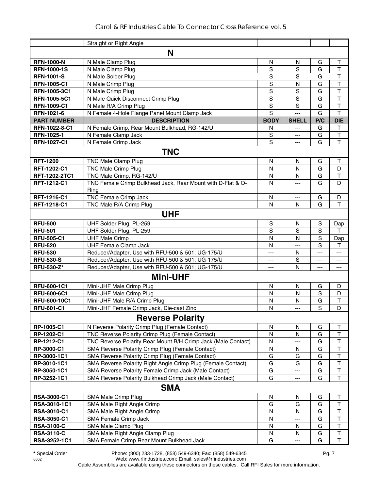|                     | Straight or Right Angle                                             |              |                |             |                         |
|---------------------|---------------------------------------------------------------------|--------------|----------------|-------------|-------------------------|
|                     | N                                                                   |              |                |             |                         |
| <b>RFN-1000-N</b>   | N Male Clamp Plug                                                   | ${\sf N}$    | $\mathsf{N}$   | G           | $\top$                  |
| <b>RFN-1000-1S</b>  | N Male Clamp Plug                                                   | $\mathbf S$  | $\overline{s}$ | G           | T                       |
| <b>RFN-1001-S</b>   | N Male Solder Plug                                                  | $\mathbf S$  | S              | G           | $\mathsf{T}$            |
| <b>RFN-1005-C1</b>  | N Male Crimp Plug                                                   | $\mathbf S$  | N              | G           | $\overline{\mathsf{T}}$ |
| <b>RFN-1005-3C1</b> | N Male Crimp Plug                                                   | $\mathbf S$  | $\mathbf S$    | G           | $\mathsf T$             |
| RFN-1005-5C1        | N Male Quick Disconnect Crimp Plug                                  | $\mathbf S$  | $\overline{s}$ | G           | $\mathsf{T}$            |
| <b>RFN-1009-C1</b>  | N Male R/A Crimp Plug                                               | S            | S              | G           | T                       |
| RFN-1021-6          | N Female 4-Hole Flange Panel Mount Clamp Jack                       | S            | $---$          | G           | $\mathsf{T}$            |
| <b>PART NUMBER</b>  | <b>DESCRIPTION</b>                                                  | <b>BODY</b>  | <b>SHELL</b>   | P/C         | <b>DIE</b>              |
| RFN-1022-8-C1       | N Female Crimp, Rear Mount Bulkhead, RG-142/U                       | N            | $\overline{a}$ | G           | T                       |
| RFN-1025-1          | N Female Clamp Jack                                                 | S            | ---            | G           | T                       |
| <b>RFN-1027-C1</b>  | N Female Crimp Jack                                                 | S            | $\overline{a}$ | G           | T                       |
|                     | <b>TNC</b>                                                          |              |                |             |                         |
| <b>RFT-1200</b>     | <b>TNC Male Clamp Plug</b>                                          | N            | N              | G           | $\mathsf T$             |
| RFT-1202-C1         | <b>TNC Male Crimp Plug</b>                                          | $\mathsf{N}$ | N              | G           | D                       |
| RFT-1202-2TC1       | TNC Male Crimp, RG-142/U                                            | N            | N              | G           | T                       |
| RFT-1212-C1         | TNC Female Crimp Bulkhead Jack, Rear Mount with D-Flat & O-<br>Ring | N            | ---            | G           | D                       |
| RFT-1216-C1         | <b>TNC Female Crimp Jack</b>                                        | N            | $\overline{a}$ | G           | D                       |
| RFT-1218-C1         | TNC Male R/A Crimp Plug                                             | N            | N              | G           | T                       |
|                     | <b>UHF</b>                                                          |              |                |             |                         |
| <b>RFU-500</b>      | UHF Solder Plug, PL-259                                             | ${\sf S}$    | N              | $\mathbf S$ | Dap                     |
| <b>RFU-501</b>      | UHF Solder Plug, PL-259                                             | $\mathbf S$  | S              | S           | т                       |
| <b>RFU-505-C1</b>   | <b>UHF Male Crimp</b>                                               | N            | N              | S           | Dap                     |
| <b>RFU-520</b>      | <b>UHF Female Clamp Jack</b>                                        | N            | ---            | S           | т                       |
| <b>RFU-530</b>      | Reducer/Adapter, Use with RFU-500 & 501; UG-175/U                   | ---          | N              | ---         | ---                     |
| <b>RFU-530-S</b>    | Reducer/Adapter, Use with RFU-500 & 501; UG-175/U                   | ---          | $\mathbf S$    | ---         | ---                     |
| <b>RFU-530-Z*</b>   | Reducer/Adapter, Use with RFU-500 & 501; UG-175/U                   | ---          | N              | ---         | ---                     |
|                     | <b>Mini-UHF</b>                                                     |              |                |             |                         |
| RFU-600-1C1         | Mini-UHF Male Crimp Plug                                            | N            | N              | G           | D                       |
| <b>RFU-600-6C1</b>  | Mini-UHF Male Crimp Plug                                            | N            | N              | S           | D                       |
| RFU-600-10C1        | Mini-UHF Male R/A Crimp Plug                                        | N            | N              | G           | Τ                       |
| <b>RFU-601-C1</b>   | Mini-UHF Female Crimp Jack, Die-cast Zinc                           | N            | $---$          | S           | D                       |
|                     | <b>Reverse Polarity</b>                                             |              |                |             |                         |
| RP-1005-C1          | N Reverse Polarity Crimp Plug (Female Contact)                      | N            | N              | G           | $\mathsf T$             |
| RP-1202-C1          | TNC Reverse Polarity Crimp Plug (Female Contact)                    | N            | N              | G           | $\top$                  |
| RP-1212-C1          | TNC Reverse Polarity Rear Mount B/H Crimp Jack (Male Contact)       | N            |                | G           | T                       |
| RP-3000-C1          | SMA Reverse Polarity Crimp Plug (Female Contact)                    | ${\sf N}$    | N              | G           | $\overline{\mathsf{T}}$ |
| RP-3000-1C1         | SMA Reverse Polarity Crimp Plug (Female Contact)                    | G            | G              | G           | $\overline{\mathsf{T}}$ |
| RP-3010-1C1         | SMA Reverse Polarity Right Angle Crimp Plug (Female Contact)        | G            | G              | G           | $\overline{\mathsf{T}}$ |
| RP-3050-1C1         | SMA Reverse Polarity Female Crimp Jack (Male Contact)               | G            | ---            | G           | $\overline{\mathsf{T}}$ |
| RP-3252-1C1         | SMA Reverse Polarity Bulkhead Crimp Jack (Male Contact)             | G            | ---            | G           | $\mathsf T$             |
|                     | <b>SMA</b>                                                          |              |                |             |                         |
| RSA-3000-C1         | SMA Male Crimp Plug                                                 | N            | N              | G           | Т                       |
| RSA-3010-1C1        | SMA Male Right Angle Crimp                                          | G            | G              | G           | $\mathsf T$             |
| <b>RSA-3010-C1</b>  | SMA Male Right Angle Crimp                                          | ${\sf N}$    | $\mathsf{N}$   | G           | T                       |
| <b>RSA-3050-C1</b>  | SMA Female Crimp Jack                                               | N            |                | G           | $\overline{\mathsf{T}}$ |
| <b>RSA-3100-C</b>   | SMA Male Clamp Plug                                                 | N            | N              | G           | $\sf T$                 |
| <b>RSA-3110-C</b>   | SMA Male Right Angle Clamp Plug                                     | N            | N              | G           | $\overline{\mathsf{T}}$ |
| RSA-3252-1C1        | SMA Female Crimp Rear Mount Bulkhead Jack                           | G            | $---$          | G           | $\overline{\mathsf{T}}$ |

**\*** Special Order Phone: (800) 233-1728, (858) 549-6340; Fax: (858) 549-6345 Pg. 7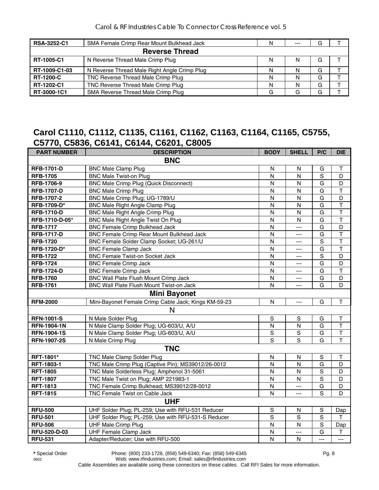| <b>RSA-3252-C1</b> | SMA Female Crimp Rear Mount Bulkhead Jack    | N | $- - -$ | G |  |
|--------------------|----------------------------------------------|---|---------|---|--|
|                    | <b>Reverse Thread</b>                        |   |         |   |  |
| RT-1005-C1         | N Reverse Thread Male Crimp Plug             | N | N       | G |  |
| RT-1009-C1-03      | N Reverse Thread Male Right Angle Crimp Plug | N | N       | G |  |
| <b>RT-1200-C</b>   | TNC Reverse Thread Male Crimp Plug           | N | N       | G |  |
| RT-1202-C1         | TNC Reverse Thread Male Crimp Plug           | N | N       | G |  |
| RT-3000-1C1        | SMA Reverse Thread Male Crimp Plug           | G |         | G |  |

## **Carol C1110, C1112, C1135, C1161, C1162, C1163, C1164, C1165, C5755, C5770, C5836, C6141, C6144, C6201, C8005**

| <b>PART NUMBER</b> | <b>DESCRIPTION</b>                                   | <b>BODY</b>             | <b>SHELL</b>         | P/C                     | <b>DIE</b>              |
|--------------------|------------------------------------------------------|-------------------------|----------------------|-------------------------|-------------------------|
|                    | <b>BNC</b>                                           |                         |                      |                         |                         |
| <b>RFB-1701-D</b>  | <b>BNC Male Clamp Plug</b>                           | N                       | N                    | G                       | $\top$                  |
| <b>RFB-1705</b>    | <b>BNC Male Twist-on Plug</b>                        | $\mathsf{N}$            | $\mathsf{N}$         | S                       | D                       |
| RFB-1706-9         | <b>BNC Male Crimp Plug (Quick Disconnect)</b>        | N                       | N                    | G                       | D                       |
| <b>RFB-1707-D</b>  | <b>BNC Male Crimp Plug</b>                           | $\overline{N}$          | N                    | G                       | $\overline{\mathsf{T}}$ |
| RFB-1707-2         | BNC Male Crimp Plug; UG-1789/U                       | ${\sf N}$               | N                    | G                       | D                       |
| RFB-1709-D*        | <b>BNC Male Right Angle Clamp Plug</b>               | ${\sf N}$               | ${\sf N}$            | G                       | $\overline{\mathsf{T}}$ |
| <b>RFB-1710-D</b>  | <b>BNC Male Right Angle Crimp Plug</b>               | N                       | $\mathsf{N}$         | G                       | $\overline{\mathsf{T}}$ |
| RFB-1710-D-05*     | BNC Male Right Angle Twist On Plug                   | $\mathsf{N}$            | $\mathsf{N}$         | G                       | $\overline{\mathsf{T}}$ |
| <b>RFB-1717</b>    | <b>BNC Female Crimp Bulkhead Jack</b>                | $\overline{N}$          | $\overline{a}$       | $\overline{\mathsf{G}}$ | $\overline{D}$          |
| <b>RFB-1717-D</b>  | <b>BNC Female Crimp Rear Mount Bulkhead Jack</b>     | N                       | $\overline{a}$       | G                       | $\overline{\mathsf{T}}$ |
| <b>RFB-1720</b>    | BNC Female Solder Clamp Socket; UG-261/U             | N                       | $---$                | $\mathbf S$             | $\overline{\mathsf{T}}$ |
| <b>RFB-1720-D*</b> | <b>BNC Female Clamp Jack</b>                         | $\overline{\mathsf{N}}$ | $---$                | G                       | T                       |
| <b>RFB-1722</b>    | <b>BNC Female Twist-on Socket Jack</b>               | N                       | $\scriptstyle\cdots$ | $\mathbf S$             | D                       |
| <b>RFB-1724</b>    | <b>BNC Female Crimp Jack</b>                         | N                       | ---                  | G                       | D                       |
| <b>RFB-1724-D</b>  | <b>BNC Female Crimp Jack</b>                         | $\overline{N}$          | $---$                | G                       | $\overline{\mathsf{T}}$ |
| <b>RFB-1760</b>    | <b>BNC Wall Plate Flush Mount Crimp Jack</b>         | N                       | $\overline{a}$       | G                       | D                       |
| <b>RFB-1761</b>    | BNC Wall Plate Flush Mount Twist-on Jack             | $\mathsf{N}$            | ---                  | G                       | D                       |
|                    | <b>Mini Bayonet</b>                                  |                         |                      |                         |                         |
| <b>RFM-2000</b>    | Mini-Bayonet Female Crimp Cable Jack; Kings KM-59-23 | N                       | ---                  | G                       | $\mathsf{T}$            |
|                    | N                                                    |                         |                      |                         |                         |
| <b>RFN-1001-S</b>  | N Male Solder Plug                                   | $\mathsf S$             | $\mathsf S$          | G                       | $\top$                  |
| <b>RFN-1904-1N</b> | N Male Clamp Solder Plug; UG-603/U, A/U              | N                       | $\mathsf{N}$         | G                       | $\overline{\mathsf{T}}$ |
| <b>RFN-1904-1S</b> | N Male Clamp Solder Plug; UG-603/U, A/U              | $\overline{S}$          | $\overline{s}$       | G                       | $\overline{\mathsf{T}}$ |
| <b>RFN-1907-2S</b> | N Male Crimp Plug                                    | S                       | S                    | G                       | $\overline{\mathsf{T}}$ |
|                    | <b>TNC</b>                                           |                         |                      |                         |                         |
| RFT-1801*          | TNC Male Clamp Solder Plug                           | N                       | N                    | $\mathbf S$             | $\mathsf T$             |
| RFT-1803-1         | TNC Male Crimp Plug (Captive Pin); MS39012/26-0012   | N                       | $\mathsf{N}$         | G                       | D                       |
| <b>RFT-1805</b>    | TNC Male Solderless Plug; Amphenol 31-5061           | $\overline{\mathsf{N}}$ | $\mathsf{N}$         | S                       | D                       |
| <b>RFT-1807</b>    | TNC Male Twist on Plug; AMP 221983-1                 | N                       | N                    | S                       | D                       |
| <b>RFT-1813</b>    | TNC Female Crimp Bulkhead; MS39012/28-0012           | N                       | ---                  | G                       | D                       |
| <b>RFT-1815</b>    | TNC Female Twist on Cable Jack                       | N                       | $\overline{a}$       | $\overline{s}$          | D                       |
|                    | <b>UHF</b>                                           |                         |                      |                         |                         |
| <b>RFU-500</b>     | UHF Solder Plug; PL-259; Use with RFU-531 Reducer    | $\mathbb S$             | ${\sf N}$            | $\mathbf S$             | Dap                     |
| <b>RFU-501</b>     | UHF Solder Plug; PL-259; Use with RFU-531-S Reducer  | $\overline{s}$          | $\overline{s}$       | s                       | T                       |
| <b>RFU-506</b>     | <b>UHF Male Crimp Plug</b>                           | N                       | $\mathsf{N}$         | S                       | Dap                     |
| RFU-520-D-03       | <b>UHF Female Clamp Jack</b>                         | $\mathsf{N}$            | $\overline{a}$       | G                       | $\sf T$                 |
| <b>RFU-531</b>     | Adapter/Reducer; Use with RFU-500                    | N                       | $\mathsf{N}$         | $\overline{a}$          | $\overline{a}$          |

**\*** Special Order Phone: (800) 233-1728, (858) 549-6340; Fax: (858) 549-6345 Pg. 8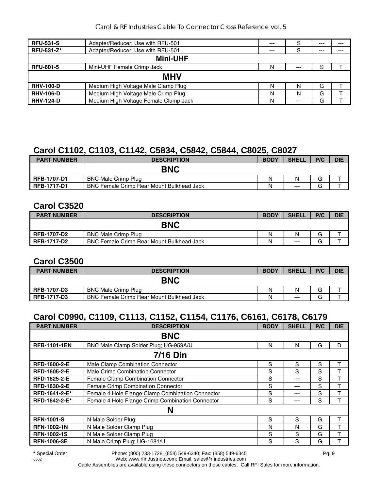| <b>RFU-531-S</b>  | Adapter/Reducer; Use with RFU-501     | $---$ |       | $--$ | $---$ |  |  |  |
|-------------------|---------------------------------------|-------|-------|------|-------|--|--|--|
| <b>RFU-531-Z*</b> | Adapter/Reducer; Use with RFU-501     | $--$  | S     | $--$ | $---$ |  |  |  |
| <b>Mini-UHF</b>   |                                       |       |       |      |       |  |  |  |
| <b>RFU-601-5</b>  | Mini-UHF Female Crimp Jack            | N     | $---$ | S    |       |  |  |  |
|                   | <b>MHV</b>                            |       |       |      |       |  |  |  |
| <b>RHV-100-D</b>  | Medium High Voltage Male Clamp Plug   | N     | N     | G    |       |  |  |  |
| <b>RHV-106-D</b>  | Medium High Voltage Male Crimp Plug   | N     | N     | G    |       |  |  |  |
| <b>RHV-124-D</b>  | Medium High Voltage Female Clamp Jack | N     | $---$ | G    |       |  |  |  |

## **Carol C1102, C1103, C1142, C5834, C5842, C5844, C8025, C8027**

| <b>PART NUMBER</b> | <b>DESCRIPTION</b>                               | <b>BODY</b> | <b>SHELL</b> | P/C | <b>DIE</b> |
|--------------------|--------------------------------------------------|-------------|--------------|-----|------------|
|                    | <b>BNC</b>                                       |             |              |     |            |
| <b>RFB-1707-D1</b> | <b>BNC Male Crimp Plug</b>                       | N           | N            |     |            |
| <b>RFB-1717-D1</b> | <b>BNC Female Crimp Rear Mount Bulkhead Jack</b> | N           | $---$        |     |            |

#### **Carol C3520**

| <b>PART NUMBER</b> | <b>DESCRIPTION</b>                               | <b>BODY</b> | <b>SHELL</b> | P/C | <b>DIE</b> |
|--------------------|--------------------------------------------------|-------------|--------------|-----|------------|
|                    | <b>BNC</b>                                       |             |              |     |            |
| <b>RFB-1707-D2</b> | <b>BNC Male Crimp Plug</b>                       | Ν           | Ν            | G   |            |
| <b>RFB-1717-D2</b> | <b>BNC Female Crimp Rear Mount Bulkhead Jack</b> | Ν           | $---$        | G   |            |

#### **Carol C3500**

| <b>PART NUMBER</b> | <b>DESCRIPTION</b>                               | <b>BODY</b> | <b>SHELL</b> | P/C | <b>DIE</b> |
|--------------------|--------------------------------------------------|-------------|--------------|-----|------------|
|                    | <b>BNC</b>                                       |             |              |     |            |
| <b>RFB-1707-D3</b> | <b>BNC Male Crimp Plug</b>                       | N           | N            |     |            |
| <b>RFB-1717-D3</b> | <b>BNC Female Crimp Rear Mount Bulkhead Jack</b> | N           | $---$        |     |            |

# **Carol C0990, C1109, C1113, C1152, C1154, C1176, C6161, C6178, C6179**

| <b>PART NUMBER</b>  | <b>DESCRIPTION</b>                               | <b>BODY</b> | <b>SHELL</b> | P/C | <b>DIE</b> |  |  |  |
|---------------------|--------------------------------------------------|-------------|--------------|-----|------------|--|--|--|
|                     | <b>BNC</b>                                       |             |              |     |            |  |  |  |
| <b>RFB-1101-1EN</b> | BNC Male Clamp Solder Plug; UG-959A/U            | N           | N            | G   | D          |  |  |  |
| <b>7/16 Din</b>     |                                                  |             |              |     |            |  |  |  |
| <b>RFD-1600-2-E</b> | Male Clamp Combination Connector                 | S           | S            | S   | т          |  |  |  |
| <b>RFD-1605-2-E</b> | Male Crimp Combination Connector                 | S           | S            | S   |            |  |  |  |
| RFD-1625-2-E        | Female Clamp Combination Connector               | S           | ---          | S   |            |  |  |  |
| RFD-1630-2-E        | Female Crimp Combination Connector               | S           | ---          | S   |            |  |  |  |
| RFD-1641-2-E*       | Female 4 Hole Flange Clamp Combination Connector | S           | ---          | S   | т          |  |  |  |
| RFD-1642-2-E*       | Female 4 Hole Flange Crimp Combination Connector | S           | ---          | S   |            |  |  |  |
|                     | N                                                |             |              |     |            |  |  |  |
| <b>RFN-1001-S</b>   | N Male Solder Plug                               | S           | S            | G   |            |  |  |  |
| <b>RFN-1002-1N</b>  | N Male Solder Clamp Plug                         | N           | N            | G   | т          |  |  |  |
| <b>RFN-1002-1S</b>  | N Male Solder Clamp Plug                         | S           | S            | G   |            |  |  |  |
| <b>RFN-1006-3E</b>  | N Male Crimp Plug; UG-1681/U                     | S           | S            | G   |            |  |  |  |

**\*** Special Order Phone: (800) 233-1728, (858) 549-6340; Fax: (858) 549-6345 Pg. 9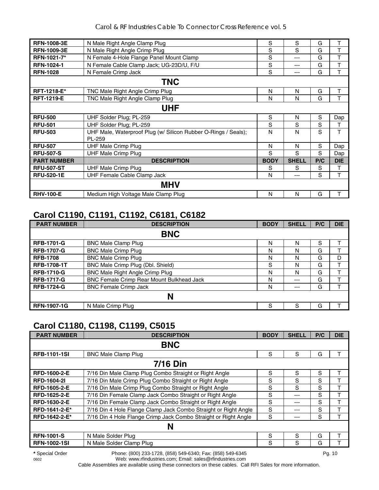| <b>RFN-1008-3E</b> | N Male Right Angle Clamp Plug                                            | S           | S            | G   | т          |  |  |  |  |  |
|--------------------|--------------------------------------------------------------------------|-------------|--------------|-----|------------|--|--|--|--|--|
| <b>RFN-1009-3E</b> | N Male Right Angle Crimp Plug                                            | S           | S            | G   | T          |  |  |  |  |  |
| RFN-1021-7*        | N Female 4-Hole Flange Panel Mount Clamp                                 | S           | ---          | G   | Т          |  |  |  |  |  |
| <b>RFN-1024-1</b>  | N Female Cable Clamp Jack; UG-23D/U, F/U                                 | S           | ---          | G   | T          |  |  |  |  |  |
| <b>RFN-1028</b>    | N Female Crimp Jack                                                      | S           | ---          | G   | т          |  |  |  |  |  |
|                    | <b>TNC</b>                                                               |             |              |     |            |  |  |  |  |  |
| <b>RFT-1218-E*</b> | TNC Male Right Angle Crimp Plug                                          | N           | N            | G   | т          |  |  |  |  |  |
| <b>RFT-1219-E</b>  | TNC Male Right Angle Clamp Plug                                          | N           | N            | G   | т          |  |  |  |  |  |
|                    | <b>UHF</b>                                                               |             |              |     |            |  |  |  |  |  |
| <b>RFU-500</b>     | UHF Solder Plug; PL-259                                                  | S           | N            | S   | Dap        |  |  |  |  |  |
| <b>RFU-501</b>     | UHF Solder Plug; PL-259                                                  | S           | S            | S   | Т          |  |  |  |  |  |
| <b>RFU-503</b>     | UHF Male, Waterproof Plug (w/ Silicon Rubber O-Rings / Seals);<br>PL-259 | N           | N            | S   | T          |  |  |  |  |  |
| <b>RFU-507</b>     | <b>UHF Male Crimp Plug</b>                                               | N           | N            | S   | Dap        |  |  |  |  |  |
| <b>RFU-507-S</b>   | <b>UHF Male Crimp Plug</b>                                               | S           | S            | S   | Dap        |  |  |  |  |  |
| <b>PART NUMBER</b> | <b>DESCRIPTION</b>                                                       | <b>BODY</b> | <b>SHELL</b> | P/C | <b>DIE</b> |  |  |  |  |  |
| <b>RFU-507-ST</b>  | <b>UHF Male Crimp Plug</b>                                               | S           | S            | S   | Т          |  |  |  |  |  |
| <b>RFU-520-1E</b>  | UHF Female Cable Clamp Jack                                              | N           | ---          | S   | T          |  |  |  |  |  |
|                    | <b>MHV</b>                                                               |             |              |     |            |  |  |  |  |  |
| <b>RHV-100-E</b>   | Medium High Voltage Male Clamp Plug                                      | N           | N            | G   | т          |  |  |  |  |  |

## **Carol C1190, C1191, C1192, C6181, C6182**

| <b>PART NUMBER</b> | <b>DESCRIPTION</b>                        | <b>BODY</b> | <b>SHELL</b> | P/C | <b>DIE</b> |
|--------------------|-------------------------------------------|-------------|--------------|-----|------------|
|                    | <b>BNC</b>                                |             |              |     |            |
| <b>RFB-1701-G</b>  | <b>BNC Male Clamp Plug</b>                | N           | N            | S   |            |
| <b>RFB-1707-G</b>  | <b>BNC Male Crimp Plug</b>                | Ν           | N            | G   |            |
| <b>RFB-1708</b>    | <b>BNC Male Crimp Plug</b>                | Ν           | N            | G   | D          |
| <b>RFB-1708-1T</b> | BNC Male Crimp Plug (Dbl. Shield)         | S           | N            | G   |            |
| <b>RFB-1710-G</b>  | <b>BNC Male Right Angle Crimp Plug</b>    | Ν           | N            | G   |            |
| <b>RFB-1717-G</b>  | BNC Female Crimp Rear Mount Bulkhead Jack | N           | $---$        | G   |            |
| <b>RFB-1724-G</b>  | <b>BNC Female Crimp Jack</b>              | N           | $---$        | G   |            |
|                    | N                                         |             |              |     |            |
| <b>RFN-1907-1G</b> | N Male Crimp Plug                         | S           | S            | G   |            |

# **Carol C1180, C1198, C1199, C5015**

| <b>PART NUMBER</b>  | <b>DESCRIPTION</b>                                              | <b>BODY</b> | <b>SHELL</b> | P/C | <b>DIE</b> |  |  |  |  |
|---------------------|-----------------------------------------------------------------|-------------|--------------|-----|------------|--|--|--|--|
|                     | <b>BNC</b>                                                      |             |              |     |            |  |  |  |  |
| <b>RFB-1101-1SI</b> | <b>BNC Male Clamp Plug</b>                                      | S           | S            | G   | т          |  |  |  |  |
|                     | <b>7/16 Din</b>                                                 |             |              |     |            |  |  |  |  |
| <b>RFD-1600-2-E</b> | 7/16 Din Male Clamp Plug Combo Straight or Right Angle          | S           | S            | S   | т          |  |  |  |  |
| <b>RFD-1604-21</b>  | 7/16 Din Male Crimp Plug Combo Straight or Right Angle          | S           | S            | S   |            |  |  |  |  |
| <b>RFD-1605-2-E</b> | 7/16 Din Male Crimp Plug Combo Straight or Right Angle          | S           | S            | S   |            |  |  |  |  |
| RFD-1625-2-E        | 7/16 Din Female Clamp Jack Combo Straight or Right Angle        | S           | ---          | S   | т          |  |  |  |  |
| RFD-1630-2-E        | 7/16 Din Female Clamp Jack Combo Straight or Right Angle        | S           | ---          | S   | т          |  |  |  |  |
| RFD-1641-2-E*       | 7/16 Din 4 Hole Flange Clamp Jack Combo Straight or Right Angle | S           | ---          | S   | т          |  |  |  |  |
| RFD-1642-2-E*       | 7/16 Din 4 Hole Flange Crimp Jack Combo Straight or Right Angle | S           | ---          | S   |            |  |  |  |  |
|                     | N                                                               |             |              |     |            |  |  |  |  |
| <b>RFN-1001-S</b>   | N Male Solder Plug                                              | S           | S            | G   | т          |  |  |  |  |
| <b>RFN-1002-1SI</b> | N Male Solder Clamp Plug                                        | S           | S            | G   |            |  |  |  |  |

**\*** Special Order Phone: (800) 233-1728, (858) 549-6340; Fax: (858) 549-6345 Pg. 10

Web: www.rfindustries.com; Email: sales@rfindustries.com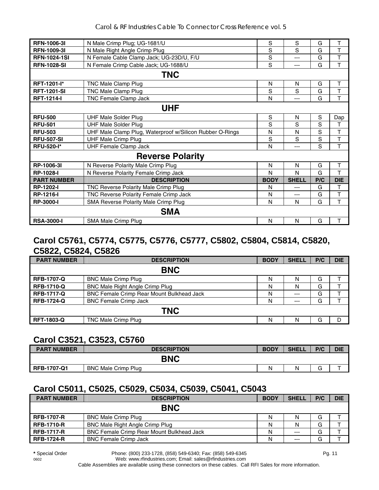| <b>RFN-1006-31</b>  | N Male Crimp Plug; UG-1681/U                             | S           | S            | G   | т          |
|---------------------|----------------------------------------------------------|-------------|--------------|-----|------------|
| <b>RFN-1009-31</b>  | N Male Right Angle Crimp Plug                            | S           | S            | G   | T          |
| <b>RFN-1024-1SI</b> | N Female Cable Clamp Jack; UG-23D/U, F/U                 | S           | ---          | G   | T          |
| <b>RFN-1028-SI</b>  | N Female Crimp Cable Jack; UG-1688/U                     | S           | ---          | G   | T          |
|                     | <b>TNC</b>                                               |             |              |     |            |
| <b>RFT-1201-I*</b>  | TNC Male Clamp Plug                                      | N           | N            | G   | T          |
| <b>RFT-1201-SI</b>  | TNC Male Clamp Plug                                      | S           | S            | G   | Т          |
| <b>RFT-1214-I</b>   | TNC Female Clamp Jack                                    | N           | ---          | G   | T          |
|                     | <b>UHF</b>                                               |             |              |     |            |
| <b>RFU-500</b>      | <b>UHF Male Solder Plug</b>                              | S           | N            | S   | Dap        |
| <b>RFU-501</b>      | <b>UHF Male Solder Plug</b>                              | S           | S            | S   | т          |
| <b>RFU-503</b>      | UHF Male Clamp Plug, Waterproof w/Silicon Rubber O-Rings | N           | N            | S   | T          |
| <b>RFU-507-SI</b>   | <b>UHF Male Crimp Plug</b>                               | S           | S            | S   | $\top$     |
| <b>RFU-520-I*</b>   | <b>UHF Female Clamp Jack</b>                             | N           | ---          | S   | T          |
|                     | <b>Reverse Polarity</b>                                  |             |              |     |            |
| RP-1006-3I          | N Reverse Polarity Male Crimp Plug                       | N           | N            | G   | T          |
| <b>RP-1028-I</b>    | N Reverse Polarity Female Crimp Jack                     | N           | N            | G   | T          |
| <b>PART NUMBER</b>  | <b>DESCRIPTION</b>                                       | <b>BODY</b> | <b>SHELL</b> | P/C | <b>DIE</b> |
| <b>RP-1202-I</b>    | TNC Reverse Polarity Male Crimp Plug                     | N           | ---          | G   | т          |
| <b>RP-1216-I</b>    | TNC Reverse Polarity Female Crimp Jack                   | N           | ---          | G   | T          |
| <b>RP-3000-I</b>    | SMA Reverse Polarity Male Crimp Plug                     | N           | N            | G   | T          |
|                     | <b>SMA</b>                                               |             |              |     |            |
| <b>RSA-3000-I</b>   | SMA Male Crimp Plug                                      | N           | N            | G   | Τ          |

#### **Carol C5761, C5774, C5775, C5776, C5777, C5802, C5804, C5814, C5820, C5822, C5824, C5826**

| <b>PART NUMBER</b> | <b>DESCRIPTION</b>                               | <b>BODY</b> | <b>SHELL</b> | P/C | <b>DIE</b> |  |  |  |  |
|--------------------|--------------------------------------------------|-------------|--------------|-----|------------|--|--|--|--|
| <b>BNC</b>         |                                                  |             |              |     |            |  |  |  |  |
| <b>RFB-1707-Q</b>  | <b>BNC Male Crimp Plug</b>                       | N           |              | G   |            |  |  |  |  |
| <b>RFB-1710-Q</b>  | BNC Male Right Angle Crimp Plug                  | N           | Ν            | G   |            |  |  |  |  |
| <b>RFB-1717-Q</b>  | <b>BNC Female Crimp Rear Mount Bulkhead Jack</b> | N           | $---$        | G   |            |  |  |  |  |
| <b>RFB-1724-Q</b>  | <b>BNC Female Crimp Jack</b>                     | N           | $--$         | G   |            |  |  |  |  |
| <b>TNC</b>         |                                                  |             |              |     |            |  |  |  |  |
| <b>RFT-1803-Q</b>  | TNC Male Crimp Plug                              | N           | Ν            | G   |            |  |  |  |  |

#### **Carol C3521, C3523, C5760**

| <b>PART NUMBER</b> | <b>DESCRIPTION</b>         | <b>BODY</b> | <b>SHELL</b> | P/C                           | <b>DIE</b> |
|--------------------|----------------------------|-------------|--------------|-------------------------------|------------|
|                    | <b>BNC</b>                 |             |              |                               |            |
| <b>RFB-1707-Q1</b> | <b>BNC Male Crimp Plug</b> | N           |              | $\overline{\phantom{0}}$<br>G |            |

## **Carol C5011, C5025, C5029, C5034, C5039, C5041, C5043**

| <b>PART NUMBER</b> | <b>DESCRIPTION</b>                               | <b>BODY</b> | <b>SHELL</b> | P/C | <b>DIE</b> |  |
|--------------------|--------------------------------------------------|-------------|--------------|-----|------------|--|
| <b>BNC</b>         |                                                  |             |              |     |            |  |
| <b>RFB-1707-R</b>  | <b>BNC Male Crimp Plug</b>                       | N           | N            | G   |            |  |
| <b>RFB-1710-R</b>  | <b>BNC Male Right Angle Crimp Plug</b>           | N           |              | G   |            |  |
| <b>RFB-1717-R</b>  | <b>BNC Female Crimp Rear Mount Bulkhead Jack</b> | N           | $---$        | G   |            |  |
| <b>RFB-1724-R</b>  | <b>BNC Female Crimp Jack</b>                     | N           | $---$        | G   |            |  |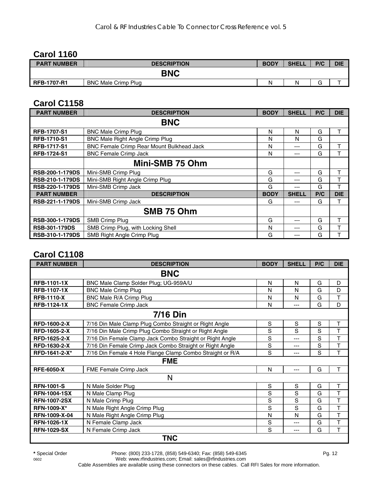## **Carol 1160**

| <b>PART NUMBER</b> | <b>DESCRIPTION</b>         | <b>BODY</b> | <b>SHELL</b> | P/C    | <b>DIE</b> |
|--------------------|----------------------------|-------------|--------------|--------|------------|
|                    | <b>BNC</b>                 |             |              |        |            |
| <b>RFB-1707-R1</b> | <b>BNC Male Crimp Plug</b> | N           | N            | $\sim$ |            |

#### **Carol C1158**

| <b>PART NUMBER</b>     | <b>DESCRIPTION</b>                        | <b>BODY</b> | <b>SHELL</b> | P/C | <b>DIE</b> |
|------------------------|-------------------------------------------|-------------|--------------|-----|------------|
|                        | <b>BNC</b>                                |             |              |     |            |
| <b>RFB-1707-S1</b>     | <b>BNC Male Crimp Plug</b>                | N           | N            | G   | т          |
| <b>RFB-1710-S1</b>     | <b>BNC Male Right Angle Crimp Plug</b>    | N           | N            | G   |            |
| <b>RFB-1717-S1</b>     | BNC Female Crimp Rear Mount Bulkhead Jack | N           | ---          | G   |            |
| <b>RFB-1724-S1</b>     | <b>BNC Female Crimp Jack</b>              | N           | ---          | G   | т          |
|                        | Mini-SMB 75 Ohm                           |             |              |     |            |
| <b>RSB-200-1-179DS</b> | Mini-SMB Crimp Plug                       | G           | ---          | G   | т          |
| <b>RSB-210-1-179DS</b> | Mini-SMB Right Angle Crimp Plug           | G           | ---          | G   | т          |
| <b>RSB-220-1-179DS</b> | Mini-SMB Crimp Jack                       | G           | ---          | G   | т          |
| <b>PART NUMBER</b>     | <b>DESCRIPTION</b>                        | <b>BODY</b> | <b>SHELL</b> | P/C | <b>DIE</b> |
| RSB-221-1-179DS        | Mini-SMB Crimp Jack                       | G           | ---          | G   | т          |
|                        | SMB 75 Ohm                                |             |              |     |            |
| <b>RSB-300-1-179DS</b> | SMB Crimp Plug                            | G           | ---          | G   |            |
| <b>RSB-301-179DS</b>   | SMB Crimp Plug, with Locking Shell        | N           | ---          | G   |            |
| <b>RSB-310-1-179DS</b> | SMB Right Angle Crimp Plug                | G           | ---          | G   |            |

## **Carol C1108**

| <b>PART NUMBER</b>  | <b>DESCRIPTION</b>                                        | <b>BODY</b> | <b>SHELL</b> | P/C | <b>DIE</b>  |  |
|---------------------|-----------------------------------------------------------|-------------|--------------|-----|-------------|--|
| <b>BNC</b>          |                                                           |             |              |     |             |  |
| <b>RFB-1101-1X</b>  | BNC Male Clamp Solder Plug; UG-959A/U                     | N           | N            | G   | D           |  |
| <b>RFB-1107-1X</b>  | <b>BNC Male Crimp Plug</b>                                | N           | N            | G   | D           |  |
| <b>RFB-1110-X</b>   | BNC Male R/A Crimp Plug                                   | N           | N            | G   | T           |  |
| <b>RFB-1124-1X</b>  | <b>BNC Female Crimp Jack</b>                              | N           | ---          | G   | D           |  |
| <b>7/16 Din</b>     |                                                           |             |              |     |             |  |
| RFD-1600-2-X        | 7/16 Din Male Clamp Plug Combo Straight or Right Angle    | S           | S            | S   | Т           |  |
| RFD-1605-2-X        | 7/16 Din Male Crimp Plug Combo Straight or Right Angle    | S           | S            | S   | T           |  |
| RFD-1625-2-X        | 7/16 Din Female Clamp Jack Combo Straight or Right Angle  | S           | ---          | S   | T           |  |
| RFD-1630-2-X        | 7/16 Din Female Crimp Jack Combo Straight or Right Angle  | S           | ---          | S   | T           |  |
| RFD-1641-2-X*       | 7/16 Din Female 4 Hole Flange Clamp Combo Straight or R/A | S           | ---          | S   | T           |  |
| <b>FME</b>          |                                                           |             |              |     |             |  |
| <b>RFE-6050-X</b>   | FME Female Crimp Jack                                     | N           | ---          | G   | T           |  |
| N                   |                                                           |             |              |     |             |  |
| <b>RFN-1001-S</b>   | N Male Solder Plug                                        | S           | S            | G   | T           |  |
| <b>RFN-1004-1SX</b> | N Male Clamp Plug                                         | S           | S            | G   | T           |  |
| <b>RFN-1007-2SX</b> | N Male Crimp Plug                                         | S           | S            | G   | $\mathsf T$ |  |
| <b>RFN-1009-X*</b>  | N Male Right Angle Crimp Plug                             | S           | S            | G   | T           |  |
| RFN-1009-X-04       | N Male Right Angle Crimp Plug                             | N           | N            | G   | T           |  |
| <b>RFN-1026-1X</b>  | N Female Clamp Jack                                       | S           | ---          | G   | $\mathsf T$ |  |
| <b>RFN-1029-SX</b>  | N Female Crimp Jack                                       | S           | ---          | G   | T           |  |
| <b>TNC</b>          |                                                           |             |              |     |             |  |